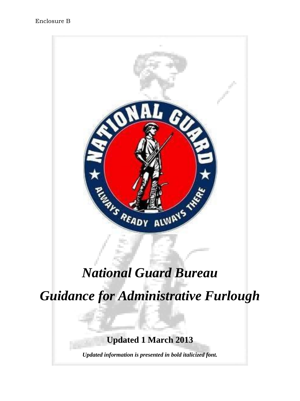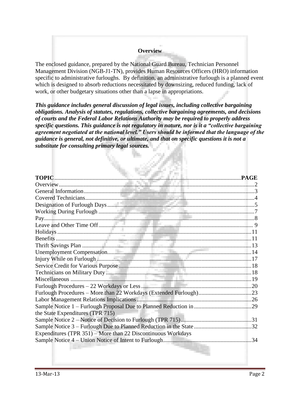### **Overview**

The enclosed guidance, prepared by the National Guard Bureau, Technician Personnel Management Division (NGB-J1-TN), provides Human Resources Officers (HRO) information specific to administrative furloughs. By definition, an administrative furlough is a planned event which is designed to absorb reductions necessitated by downsizing, reduced funding, lack of work, or other budgetary situations other than a lapse in appropriations.

*This guidance includes general discussion of legal issues, including collective bargaining obligations. Analysis of statutes, regulations, collective bargaining agreements, and decisions of courts and the Federal Labor Relations Authority may be required to properly address specific questions. This guidance is not regulatory in nature, nor is it a "collective bargaining agreement negotiated at the national level." Users should be informed that the language of the guidance is general, not definitive, or ultimate, and that on specific questions it is not a substitute for consulting primary legal sources.* 

| the State Expenditures (TPR 715)                             |  |
|--------------------------------------------------------------|--|
|                                                              |  |
|                                                              |  |
| Expenditures (TPR 351) – More than 22 Discontinuous Workdays |  |
|                                                              |  |
|                                                              |  |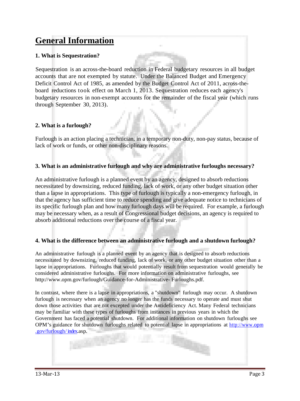## **General Information**

## **1. What is Sequestration?**

Sequestration is an across-the-board reduction in Federal budgetary resources in all budget accounts that are not exempted by statute. Under the Balanced Budget and Emergency Deficit Control Act of 1985, as amended by the Budget Control Act of 2011, across-theboard reductions took effect on March 1, 2013. Sequestration reduces each agency's budgetary resources in non-exempt accounts for the remainder of the fiscal year (which runs through September 30, 2013).

## **2. What is a furlough?**

Furlough is an action placing a technician, in a temporary non-duty, non-pay status, because of lack of work or funds, or other non-disciplinary reasons.

#### **3. What is an administrative furlough and why are administrative furloughs necessary?**

An administrative furlough is a planned event by an agency, designed to absorb reductions necessitated by downsizing, reduced funding, lack of work, or any other budget situation other than a lapse in appropriations. This type of furlough is typically a non-emergency furlough, in that the agency has sufficient time to reduce spending and give adequate notice to technicians of its specific furlough plan and how many furlough days will be required. For example, a furlough may be necessary when, as a result of Congressional budget decisions, an agency is required to absorb additional reductions over the course of a fiscal year.

#### **4. What is the difference between an administrative furlough and a shutdown furlough?**

An administrative furlough is a planned event by an agency that is designed to absorb reductions necessitated by downsizing, reduced funding, lack of work, or any other budget situation other than a lapse in appropriations. Furloughs that would potentially result from sequestration would generally be considered administrative furloughs. For more information on administrative furloughs, see [http://www.opm.gov/furlough/Guidance-for-Administrative- F](http://www.opm.gov/furlough/Guidance-for-Administrative)urloughs.pdf.

In contrast, where there is a lapse in appropriations, a "shutdown" furlough may occur. A shutdown furlough is necessary when an agency no longer has the funds necessary to operate and must shut down those activities that are not excepted under the Antideficiency Act. Many Federal technicians may be familiar with these types of furloughs from instances in previous years in which the Government has faced a potential shutdown. For additional information on shutdown furloughs see OPM's guidance for shutdown furloughs related to potential lapse in appropriations at http://www.opm .gov/furlough/ index.asp.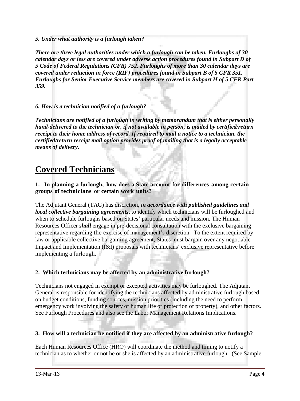*5. Under what authority is a furlough taken?*

*There are three legal authorities under which a furlough can be taken. Furloughs of 30 calendar days or less are covered under adverse action procedures found in Subpart D of 5 Code of Federal Regulations (CFR) 752. Furloughs of more than 30 calendar days are covered under reduction in force (RIF) procedures found in Subpart B of 5 CFR 351. Furloughs for Senior Executive Service members are covered in Subpart H of 5 CFR Part 359.*

*6. How is a technician notified of a furlough?*

*Technicians are notified of a furlough in writing by memorandum that is either personally hand-delivered to the technician or, if not available in person, is mailed by certified/return receipt to their home address of record. If required to mail a notice to a technician, the certified/return receipt mail option provides proof of mailing that is a legally acceptable means of delivery.*

## **Covered Technicians**

**1. In planning a furlough, how does a State account for differences among certain groups of technicians or certain work units?**

The Adjutant General (TAG) has discretion, *in accordance with published guidelines and local collective bargaining agreements*, to identify which technicians will be furloughed and when to schedule furloughs based on States' particular needs and mission. The Human Resources Officer *shall* engage in pre-decisional consultation with the exclusive bargaining representative regarding the exercise of management's discretion. To the extent required by law or applicable collective bargaining agreement, States must bargain over any negotiable Impact and Implementation (I&I) proposals with technicians' exclusive representative before implementing a furlough.

## **2. Which technicians may be affected by an administrative furlough?**

Technicians not engaged in exempt or excepted activities may be furloughed. The Adjutant General is responsible for identifying the technicians affected by administrative furlough based on budget conditions, funding sources, mission priorities (including the need to perform emergency work involving the safety of human life or protection of property), and other factors. See Furlough Procedures and also see the Labor Management Relations Implications.

## **3. How will a technician be notified if they are affected by an administrative furlough?**

Each Human Resources Office (HRO) will coordinate the method and timing to notify a technician as to whether or not he or she is affected by an administrative furlough. (See Sample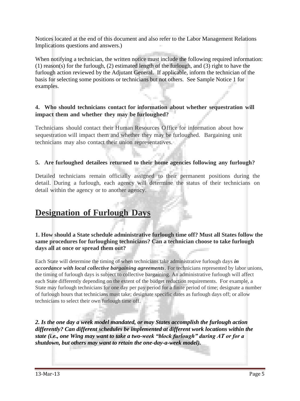Notices located at the end of this document and also refer to the Labor Management Relations Implications questions and answers.)

When notifying a technician, the written notice must include the following required information: (1) reason(s) for the furlough, (2) estimated length of the furlough, and (3) right to have the furlough action reviewed by the Adjutant General. If applicable, inform the technician of the basis for selecting some positions or technicians but not others. See Sample Notice 1 for examples.

## **4. Who should technicians contact for information about whether sequestration will impact them and whether they may be furloughed?**

Technicians should contact their Human Resources Office for information about how sequestration will impact them and whether they may be furloughed. Bargaining unit technicians may also contact their union representatives.

## **5. Are furloughed detailees returned to their home agencies following any furlough?**

Detailed technicians remain officially assigned to their permanent positions during the detail. During a furlough, each agency will determine the status of their technicians on detail within the agency or to another agency.

## **Designation of Furlough Days**

## **1. How should a State schedule administrative furlough time off? Must all States follow the same procedures for furloughing technicians? Can a technician choose to take furlough days all at once or spread them out?**

Each State will determine the timing of when technicians take administrative furlough days *in accordance with local collective bargaining agreements*. For technicians represented by labor unions, the timing of furlough days is subject to collective bargaining. An administrative furlough will affect each State differently depending on the extent of the budget reduction requirements. For example, a State may furlough technicians for one day per pay period for a finite period of time; designate a number of furlough hours that technicians must take; designate specific dates as furlough days off; or allow technicians to select their own furlough time off.

*2. Is the one day a week model mandated, or may States accomplish the furlough action differently? Can different schedules be implemented at different work locations within the state (i.e., one Wing may want to take a two-week "block furlough" during AT or for a shutdown, but others may want to retain the one-day-a-week model).*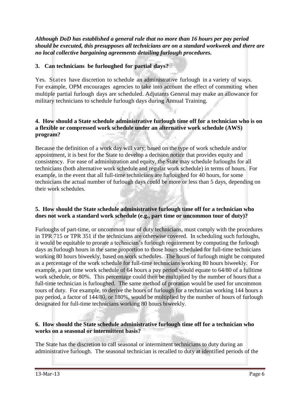*Although DoD has established a general rule that no more than 16 hours per pay period should be executed, this presupposes all technicians are on a standard workweek and there are no local collective bargaining agreements detailing furlough procedures.* 

## **3. Can technicians be furloughed for partial days?**

Yes. States have discretion to schedule an administrative furlough in a variety of ways. For example, OPM encourages agencies to take into account the effect of commuting when multiple partial furlough days are scheduled. Adjutants General may make an allowance for military technicians to schedule furlough days during Annual Training.

## **4. How should a State schedule administrative furlough time off for a technician who is on a flexible or compressed work schedule under an alternative work schedule (AWS) program?**

Because the definition of a work day will vary, based on the type of work schedule and/or appointment, it is best for the State to develop a decision notice that provides equity and consistency. For ease of administration and equity, the State may schedule furloughs for all technicians (both alternative work schedule and regular work schedule) in terms of hours. For example, in the event that all full-time technicians are furloughed for 40 hours, for some technicians the actual number of furlough days could be more or less than 5 days, depending on their work schedules.

#### **5. How should the State schedule administrative furlough time off for a technician who does not work a standard work schedule (e.g., part time or uncommon tour of duty)?**

Furloughs of part-time, or uncommon tour of duty technicians, must comply with the procedures in TPR 715 or TPR 351 if the technicians are otherwise covered. In scheduling such furloughs, it would be equitable to prorate a technician's furlough requirement by computing the furlough days as furlough hours in the same proportion to those hours scheduled for full-time technicians working 80 hours biweekly, based on work schedules. The hours of furlough might be computed as a percentage of the work schedule for full-time technicians working 80 hours biweekly. For example, a part time work schedule of 64 hours a pay period would equate to 64/80 of a fulltime work schedule, or 80%. This percentage could then be multiplied by the number of hours that a full-time technician is furloughed. The same method of proration would be used for uncommon tours of duty. For example, to derive the hours of furlough for a technician working 144 hours a pay period, a factor of 144/80, or 180%, would be multiplied by the number of hours of furlough designated for full-time technicians working 80 hours biweekly.

## **6. How should the State schedule administrative furlough time off for a technician who works on a seasonal or intermittent basis?**

The State has the discretion to call seasonal or intermittent technicians to duty during an administrative furlough. The seasonal technician is recalled to duty at identified periods of the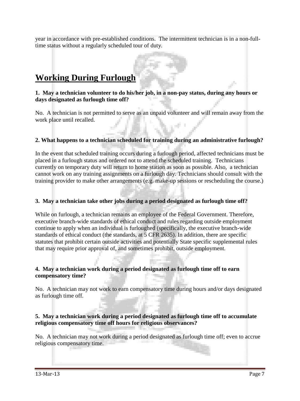year in accordance with pre-established conditions. The intermittent technician is in a non-fulltime status without a regularly scheduled tour of duty.

## **Working During Furlough**

## **1. May a technician volunteer to do his/her job, in a non-pay status, during any hours or days designated as furlough time off?**

No. A technician is not permitted to serve as an unpaid volunteer and will remain away from the work place until recalled.

## **2. What happens to a technician scheduled for training during an administrative furlough?**

In the event that scheduled training occurs during a furlough period, affected technicians must be placed in a furlough status and ordered not to attend the scheduled training. Technicians currently on temporary duty will return to home station as soon as possible. Also, a technician cannot work on any training assignments on a furlough day. Technicians should consult with the training provider to make other arrangements (e.g. make-up sessions or rescheduling the course.)

#### **3. May a technician take other jobs during a period designated as furlough time off?**

While on furlough, a technician remains an employee of the Federal Government. Therefore, executive branch-wide standards of ethical conduct and rules regarding outside employment continue to apply when an individual is furloughed (specifically, the executive branch-wide standards of ethical conduct (the standards, at 5 CFR 2635). In addition, there are specific statutes that prohibit certain outside activities and potentially State specific supplemental rules that may require prior approval of, and sometimes prohibit, outside employment.

#### **4. May a technician work during a period designated as furlough time off to earn compensatory time?**

No. A technician may not work to earn compensatory time during hours and/or days designated as furlough time off.

#### **5. May a technician work during a period designated as furlough time off to accumulate religious compensatory time off hours for religious observances?**

No. A technician may not work during a period designated as furlough time off; even to accrue religious compensatory time.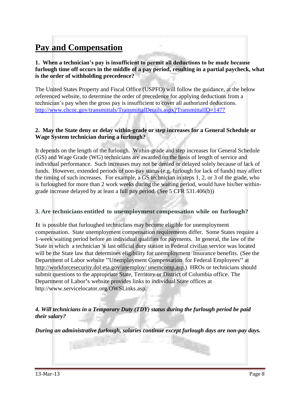# **Pay and Compensation**

## **1. When a technician's pay is insufficient to permit all deductions to be made because furlough time off occurs in the middle of a pay period, resulting in a partial paycheck, what is the order of withholding precedence?**

The United States Property and Fiscal Office (USPFO) will follow the guidance, at the below referenced website, to determine the order of precedence for applying deductions from a technician's pay when the gross pay is insufficient to cover all authorized deductions. <http://www.chcoc.gov/transmittals/TransmittalDetails.aspx?TransmittalID=1477>

### **2. May the State deny or delay within-grade or step increases for a General Schedule or Wage System technician during a furlough?**

It depends on the length of the furlough. Within-grade and step increases for General Schedule (GS) and Wage Grade (WG) technicians are awarded on the basis of length of service and individual performance. Such increases may not be denied or delayed solely because of lack of funds. However, extended periods of non-pay status (e.g. furlough for lack of funds) may affect the timing of such increases. For example, a GS technician in steps 1, 2, or 3 of the grade, who is furloughed for more than 2 work weeks during the waiting period, would have his/her withingrade increase delayed by at least a full pay period. (See 5 CFR 531.406(b))

## **3. Are technicians entitled to unemployment compensation while on furlough?**

It is possible that furloughed technicians may become eligible for unemployment compensation. State unemployment compensation requirements differ. Some States require a 1-week waiting period before an individual qualifies for payments. In general, the law of the State in which a technician 's last official duty station in Federal civilian service was located will be the State law that determines eligibility for unemployment insurance benefits. (See the Department of Labor website "Unemployment Compensation for Federal Employees" at [http://workforcesecurity.dol](http://workforcesecurity.dol/) eta.gov/unemploy/ unemcomp.asp.) HROs or technicians should submit questions to the appropriate State, Territory or District of Columbia office. The Department of Labor's website provides links to individual State offices at [http://www.servicelocator.org/OWSLinks.asp.](http://www.servicelocator.org/OWSLinks.asp)

## *4. Will technicians in a Temporary Duty (TDY) status during the furlough period be paid their salary?*

*During an administrative furlough, salaries continue except furlough days are non-pay days.*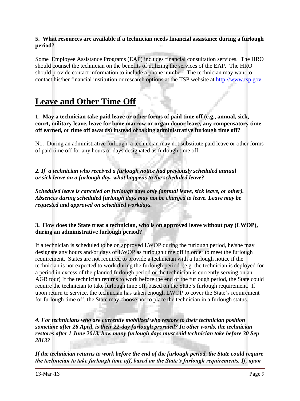### **5. What resources are available if a technician needs financial assistance during a furlough period?**

Some Employee Assistance Programs (EAP) includes financial consultation services. The HRO should counsel the technician on the benefits of utilizing the services of the EAP. The HRO should provide contact information to include a phone number. The technician may want to contact his/her financial institution or research options at the TSP website at [http://www.tsp.gov.](http://www.tsp.gov/)

## **Leave and Other Time Off**

**1. May a technician take paid leave or other forms of paid time off (e.g., annual, sick, court, military leave, leave for bone marrow or organ donor leave, any compensatory time off earned, or time off awards) instead of taking administrative furlough time off?** 

No. During an administrative furlough, a technician may not substitute paid leave or other forms of paid time off for any hours or days designated as furlough time off.

*2. If a technician who received a furlough notice had previously scheduled annual or sick leave on a furlough day, what happens to the scheduled leave?*

*Scheduled leave is canceled on furlough days only (annual leave, sick leave, or other). Absences during scheduled furlough days may not be charged to leave. Leave may be requested and approved on scheduled workdays.*

**3. How does the State treat a technician, who is on approved leave without pay (LWOP), during an administrative furlough period?** 

If a technician is scheduled to be on approved LWOP during the furlough period, he/she may designate any hours and/or days of LWOP as furlough time off in order to meet the furlough requirement. States are not required to provide a technician with a furlough notice if the technician is not expected to work during the furlough period. (e.g. the technician is deployed for a period in excess of the planned furlough period or the technician is currently serving on an AGR tour) If the technician returns to work before the end of the furlough period, the State could require the technician to take furlough time off, based on the State's furlough requirement. If upon return to service, the technician has taken enough LWOP to cover the State's requirement for furlough time off, the State may choose not to place the technician in a furlough status.

*4. For technicians who are currently mobilized who restore to their technician position sometime after 26 April, is their 22-day furlough prorated? In other words, the technician restores after 1 June 2013, how many furlough days must said technician take before 30 Sep 2013?* 

*If the technician returns to work before the end of the furlough period, the State could require the technician to take furlough time off, based on the State's furlough requirements. If, upon*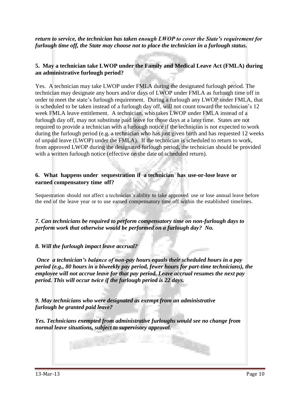*return to service, the technician has taken enough LWOP to cover the State's requirement for furlough time off, the State may choose not to place the technician in a furlough status.*

## **5. May a technician take LWOP under the Family and Medical Leave Act (FMLA) during an administrative furlough period?**

Yes. A technician may take LWOP under FMLA during the designated furlough period. The technician may designate any hours and/or days of LWOP under FMLA as furlough time off in order to meet the state's furlough requirement. During a furlough any LWOP under FMLA, that is scheduled to be taken instead of a furlough day off, will not count toward the technician's 12 week FMLA leave entitlement. A technician, who takes LWOP under FMLA instead of a furlough day off, may not substitute paid leave for those days at a later time. States are not required to provide a technician with a furlough notice if the technician is not expected to work during the furlough period (e.g. a technician who has just given birth and has requested 12 weeks of unpaid leave (LWOP) under the FMLA). If the technician is scheduled to return to work, from approved LWOP during the designated furlough period, the technician should be provided with a written furlough notice (effective on the date of scheduled return).

#### **6. What happens under sequestration if a technician has use-or-lose leave or earned compensatory time off?**

Sequestration should not affect a technician's ability to take approved use or lose annual leave before the end of the leave year or to use earned compensatory time off within the established timelines.

*7. Can technicians be required to perform compensatory time on non-furlough days to perform work that otherwise would be performed on a furlough day? No.* 

#### *8. Will the furlough impact leave accrual?*

*Once a technician's balance of non-pay hours equals their scheduled hours in a pay period (e.g., 80 hours in a biweekly pay period, fewer hours for part-time technicians), the employee will not accrue leave for that pay period. Leave accrual resumes the next pay period. This will occur twice if the furlough period is 22 days.*

*9. May technicians who were designated as exempt from an administrative furlough be granted paid leave?*

*Yes. Technicians exempted from administrative furloughs would see no change from normal leave situations, subject to supervisory approval.*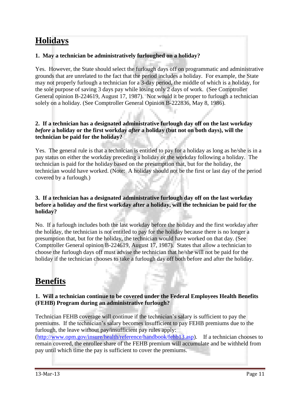## **Holidays**

## **1. May a technician be administratively furloughed on a holiday?**

Yes. However, the State should select the furlough days off on programmatic and administrative grounds that are unrelated to the fact that the period includes a holiday. For example, the State may not properly furlough a technician for a 3-day period, the middle of which is a holiday, for the sole purpose of saving 3 days pay while losing only 2 days of work. (See Comptroller General opinion B-224619, August 17, 1987). Nor would it be proper to furlough a technician solely on a holiday. (See Comptroller General Opinion B-222836, May 8, 1986).

#### **2. If a technician has a designated administrative furlough day off on the last workday**  *before* **a holiday or the first workday** *after* **a holiday (but not on both days), will the technician be paid for the holiday?**

Yes. The general rule is that a technician is entitled to pay for a holiday as long as he/she is in a pay status on either the workday preceding a holiday or the workday following a holiday. The technician is paid for the holiday based on the presumption that, but for the holiday, the technician would have worked. (Note: A holiday should not be the first or last day of the period covered by a furlough.)

#### **3. If a technician has a designated administrative furlough day off on the last workday before a holiday** *and* **the first workday after a holiday, will the technician be paid for the holiday?**

No. If a furlough includes both the last workday before the holiday and the first workday after the holiday, the technician is not entitled to pay for the holiday because there is no longer a presumption that, but for the holiday, the technician would have worked on that day. (See Comptroller General opinion B-224619, August 17, 1987). States that allow a technician to choose the furlough days off must advise the technician that he/she will not be paid for the holiday if the technician chooses to take a furlough day off both before and after the holiday.

## **Benefits**

## **1. Will a technician continue to be covered under the Federal Employees Health Benefits (FEHB) Program during an administrative furlough?**

Technician FEHB coverage will continue if the technician's salary is sufficient to pay the premiums. If the technician's salary becomes insufficient to pay FEHB premiums due to the furlough, the leave without pay/insufficient pay rules apply:

[\(http://www.opm.gov/insure/health/reference/handbook/fehb13.asp\)](http://www.opm.gov/insure/health/reference/handbook/fehb13.asp). If a technician chooses to remain covered, the enrollee share of the FEHB premium will accumulate and be withheld from pay until which time the pay is sufficient to cover the premiums.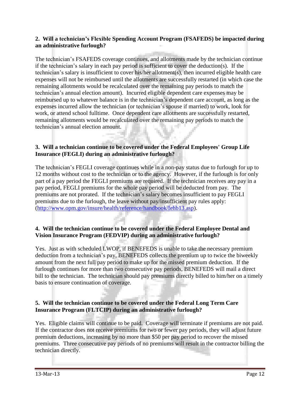### **2. Will a technician's Flexible Spending Account Program (FSAFEDS) be impacted during an administrative furlough?**

The technician's FSAFEDS coverage continues, and allotments made by the technician continue if the technician's salary in each pay period is sufficient to cover the deduction(s). If the technician's salary is insufficient to cover his/her allotment(s), then incurred eligible health care expenses will not be reimbursed until the allotments are successfully restarted (in which case the remaining allotments would be recalculated over the remaining pay periods to match the technician's annual election amount). Incurred eligible dependent care expenses may be reimbursed up to whatever balance is in the technician's dependent care account, as long as the expenses incurred allow the technician (or technician's spouse if married) to work, look for work, or attend school fulltime. Once dependent care allotments are successfully restarted, remaining allotments would be recalculated over the remaining pay periods to match the technician's annual election amount.

### **3. Will a technician continue to be covered under the Federal Employees' Group Life Insurance (FEGLI) during an administrative furlough?**

The technician's FEGLI coverage continues while in a non-pay status due to furlough for up to 12 months without cost to the technician or to the agency. However, if the furlough is for only part of a pay period the FEGLI premiums are required. If the technician receives any pay in a pay period, FEGLI premiums for the whole pay period will be deducted from pay. The premiums are not prorated. If the technician's salary becomes insufficient to pay FEGLI premiums due to the furlough, the leave without pay/insufficient pay rules apply: [\(http://www.opm.gov/insure/health/reference/handbook/fehb13.asp\)](http://www.opm.gov/insure/health/reference/handbook/fehb13.asp).

## **4. Will the technician continue to be covered under the Federal Employee Dental and Vision Insurance Program (FEDVIP) during an administrative furlough?**

Yes. Just as with scheduled LWOP, if BENEFEDS is unable to take the necessary premium deduction from a technician's pay, BENEFEDS collects the premium up to twice the biweekly amount from the next full pay period to make up for the missed premium deduction. If the furlough continues for more than two consecutive pay periods, BENEFEDS will mail a direct bill to the technician. The technician should pay premiums directly billed to him/her on a timely basis to ensure continuation of coverage.

## **5. Will the technician continue to be covered under the Federal Long Term Care Insurance Program (FLTCIP) during an administrative furlough?**

Yes. Eligible claims will continue to be paid. Coverage will terminate if premiums are not paid. If the contractor does not receive premiums for two or fewer pay periods, they will adjust future premium deductions, increasing by no more than \$50 per pay period to recover the missed premiums. Three consecutive pay periods of no premiums will result in the contractor billing the technician directly.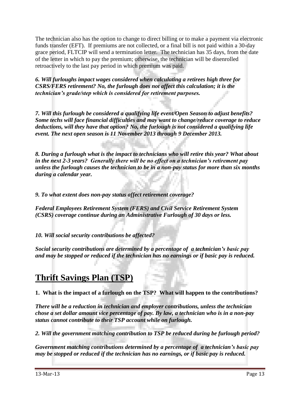The technician also has the option to change to direct billing or to make a payment via electronic funds transfer (EFT). If premiums are not collected, or a final bill is not paid within a 30-day grace period, FLTCIP will send a termination letter. The technician has 35 days, from the date of the letter in which to pay the premium; otherwise, the technician will be disenrolled retroactively to the last pay period in which premium was paid.

*6. Will furloughs impact wages considered when calculating a retirees high three for CSRS/FERS retirement? No, the furlough does not affect this calculation; it is the technician's grade/step which is considered for retirement purposes.* 

*7. Will this furlough be considered a qualifying life event/Open Season to adjust benefits? Some techs will face financial difficulties and may want to change/reduce coverage to reduce deductions, will they have that option? No, the furlough is not considered a qualifying life event. The next open season is 11 November 2013 through 9 December 2013.* 

*8. During a furlough what is the impact to technicians who will retire this year? What about in the next 2-3 years? Generally there will be no effect on a technician's retirement pay unless the furlough causes the technician to be in a non-pay status for more than six months during a calendar year.*

*9. To what extent does non-pay status affect retirement coverage?*

*Federal Employees Retirement System (FERS) and Civil Service Retirement System (CSRS) coverage continue during an Administrative Furlough of 30 days or less.*

*10. Will social security contributions be affected?*

*Social security contributions are determined by a percentage of a technician's basic pay and may be stopped or reduced if the technician has no earnings or if basic pay is reduced.*

## **Thrift Savings Plan (TSP)**

**1. What is the impact of a furlough on the TSP? What will happen to the contributions?**

*There will be a reduction in technician and employer contributions, unless the technician chose a set dollar amount vice percentage of pay. By law, a technician who is in a non-pay status cannot contribute to their TSP account while on furlough.*

*2. Will the government matching contribution to TSP be reduced during be furlough period?* 

*Government matching contributions determined by a percentage of a technician's basic pay may be stopped or reduced if the technician has no earnings, or if basic pay is reduced.*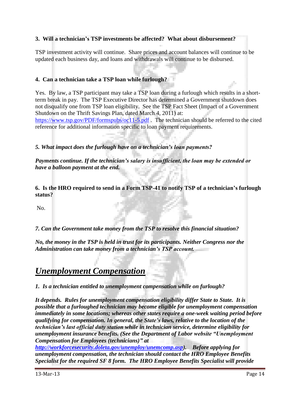## **3. Will a technician's TSP investments be affected? What about disbursement?**

TSP investment activity will continue. Share prices and account balances will continue to be updated each business day, and loans and withdrawals will continue to be disbursed.

## **4. Can a technician take a TSP loan while furlough?**

Yes. By law, a TSP participant may take a TSP loan during a furlough which results in a shortterm break in pay. The TSP Executive Director has determined a Government shutdown does not disqualify one from TSP loan eligibility. See the TSP Fact Sheet (Impact of a Government Shutdown on the Thrift Savings Plan, dated March 4, 2011) at: <https://www.tsp.gov/PDF/formspubs/oc11-5.pdf>. The technician should be referred to the cited reference for additional information specific to loan payment requirements.

*5. What impact does the furlough have on a technician's loan payments?*

*Payments continue. If the technician's salary is insufficient, the loan may be extended or have a balloon payment at the end.*

**6. Is the HRO required to send in a Form TSP-41 to notify TSP of a technician's furlough status?**

No.

*7. Can the Government take money from the TSP to resolve this financial situation?*

*No, the money in the TSP is held in trust for its participants. Neither Congress nor the Administration can take money from a technician's TSP account.*

## *Unemployment Compensation*

*1. Is a technician entitled to unemployment compensation while on furlough?* 

*It depends. Rules for unemployment compensation eligibility differ State to State. It is possible that a furloughed technician may become eligible for unemployment compensation immediately in some locations; whereas other states require a one-week waiting period before qualifying for compensation. In general, the State's laws, relative to the location of the technician's last official duty station while in technician service, determine eligibility for unemployment insurance benefits. (See the Department of Labor website "Unemployment Compensation for Employees (technicians)" at*

*[http://workforcesecurity.doleta.gov/unemploy/unemcomp.asp\)](http://workforcesecurity.doleta.gov/unemploy/unemcomp.asp). Before applying for unemployment compensation, the technician should contact the HRO Employee Benefits Specialist for the required SF 8 form. The HRO Employee Benefits Specialist will provide*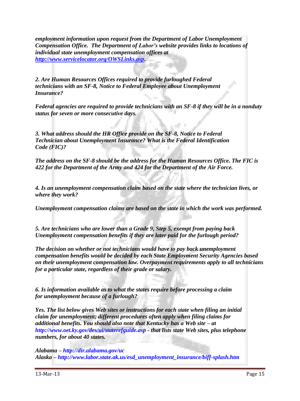*employment information upon request from the Department of Labor Unemployment Compensation Office. The Department of Labor's website provides links to locations of individual state unemployment compensation offices at [http://www.servicelocator.org/OWSLinks.asp.](http://www.servicelocator.org/OWSLinks.asp)* 

*2. Are Human Resources Offices required to provide furloughed Federal technicians with an SF-8, Notice to Federal Employee about Unemployment Insurance?*

*Federal agencies are required to provide technicians with an SF-8 if they will be in a nonduty status for seven or more consecutive days.*

*3. What address should the HR Office provide on the SF-8, Notice to Federal Technician about Unemployment Insurance? What is the Federal Identification Code (FIC)?*

*The address on the SF-8 should be the address for the Human Resources Office. The FIC is 422 for the Department of the Army and 424 for the Department of the Air Force.*

*4. Is an unemployment compensation claim based on the state where the technician lives, or where they work?*

*Unemployment compensation claims are based on the state in which the work was performed.*

*5. Are technicians who are lower than a Grade 9, Step 5, exempt from paying back Unemployment compensation benefits if they are later paid for the furlough period?*

*The decision on whether or not technicians would have to pay back unemployment compensation benefits would be decided by each State Employment Security Agencies based on their unemployment compensation law. Overpayment requirements apply to all technicians for a particular state, regardless of their grade or salary.*

*6. Is information available as to what the states require before processing a claim for unemployment because of a furlough?*

*Yes. The list below gives Web sites or instructions for each state when filing an initial claim for unemployment; different procedures often apply when filing claims for additional benefits. You should also note that Kentucky has a Web site – at http://www.oet.ky.gov/des/ui/staterefguide.asp - that lists state Web sites, plus telephone numbers, for about 40 states.*

*Alabama – http://dir.alabama.gov/uc Alaska – http://www.labor.state.ak.us/esd\_unemployment\_insurance/biff-splash.htm*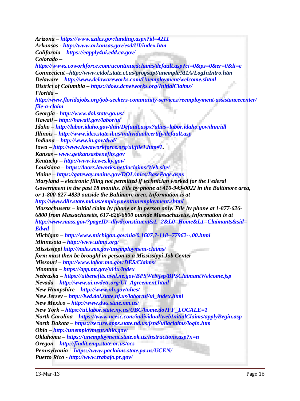*Arizona – https://www.azdes.gov/landing.aspx?id=4211 Arkansas - http://www.arkansas.gov/esd/UI/index.htm California – https://eapply4ui.edd.ca.gov/ Colorado – https://wwws.coworkforce.com/ucontinuedclaims/default.asp?ci=0&ps=0&er=0&li=e Connecticut –http://www.ctdol.state.ct.us/progsupt/unemplt/M1A/LogInIntro.htm Delaware – http://www.delawareworks.com/Unemployment/welcome.shtml District of Columbia – https://does.dcnetworks.org/InitialClaims/ Florida – http://www.floridajobs.org/job-seekers-community-services/reemployment-assistancecenter/ file-a-claim Georgia - http://www.dol.state.ga.us/ Hawaii – http://hawaii.gov/labor/ui Idaho – http://labor.idaho.gov/dnn/Default.aspx?alias=labor.idaho.gov/dnn/idl Illinois – http://www.ides.state.il.us/individual/certify/default.asp Indiana – http://www.in.gov/dwd/ Iowa – http://www.iowaworkforce.org/ui/file1.htm#1. Kansas – www.getkansasbenefits.gov Kentucky – http://www.kewes.ky.gov/ Louisiana – https://laors.laworks.net/laclaims/Web site/ Maine – https://gateway.maine.gov/DOL/mics/BasePage.aspx Maryland – electronic filing not permitted if technician worked for the Federal Government in the past 18 months. File by phone at 410-949-0022 in the Baltimore area, or 1-800-827-4839 outside the Baltimore area. Information is at http://www.dllr.state.md.us/employment/unemployment.shtml Massachusetts – initial claim by phone or in person only. File by phone at 1-877-626- 6800 from Massachusetts, 617-626-6800 outside Massachusetts. Information is at http://www.mass.gov/?pageID=dlwdconstituent&L=2&L0=Home&L1=Claimants&sid= Edwd Michigan – http://www.michigan.gov/uia/0,1607,7-118--77962--,00.html Minnesota – http://www.uimn.org/ Mississippi http://mdes.ms.gov/unemployment-claims/ form must then be brought in person to a Mississippi Job Center Missouri – http://www.labor.mo.gov/DES/Claims/ Montana – https://app.mt.gov/ui4u/index Nebraska – https://uibenefits.nwd.ne.gov/BPSWeb/jsp/BPSClaimantWelcome.jsp Nevada – http://www.ui.nvdetr.org/UI\_Agreement.html New Hampshire – http://www.nh.gov/nhes/ New Jersey – http://lwd.dol.state.nj.us/labor/ui/ui\_index.html New Mexico – http://www.dws.state.nm.us/ New York – https://ui.labor.state.ny.us/UBC/home.do?FF\_LOCALE=1 North Carolina – https://www.ncesc.com/individual/webInitialClaims/applyBegin.asp North Dakota – https://secure.apps.state.nd.us/jsnd/uiiaclaims/login.htm Ohio – http://unemployment.ohio.gov/ Oklahoma – https://unemployment.state.ok.us/instructions.asp?x=n Oregon – http://findit.emp.state.or.us/ocs Pennsylvania – https://www.paclaims.state.pa.us/UCEN/ Puerto Rico - http://www.trabajo.pr.gov/*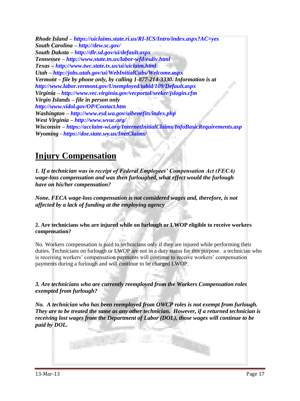*Rhode Island – https://uiclaims.state.ri.us/RI-ICS/Intro/index.aspx?AC=yes South Carolina – http://dew.sc.gov/ South Dakota – http://dlr.sd.gov/ui/default.aspx Tennessee – http://www.state.tn.us/labor-wfd/esdiv.html Texas – http://www.twc.state.tx.us/ui/uiclaim.html Utah – http://jobs.utah.gov/ui/WebInitialCubs/Welcome.aspx Vermont – file by phone only, by calling 1-877-214-3330. Information is at http://www.labor.vermont.gov/Unemployed/tabid/109/Default.aspx Virginia – http://www.vec.virginia.gov/vecportal/seeker/jslogin.cfm Virgin Islands – file in person only http://www.vidol.gov/OP/Contact.htm Washington – http://www.esd.wa.gov/uibenefits/index.php West Virginia – http://www.wvuc.org/ Wisconsin – https://ucclaim-wi.org/InternetInitialClaims/InfoBasicRequirements.asp Wyoming - https://doe.state.wy.us/InetClaims/*

## **Injury Compensation**

*1. If a technician was in receipt of Federal Employees' Compensation Act (FECA) wage-loss compensation and was then furloughed, what effect would the furlough have on his/her compensation?*

*None. FECA wage-loss compensation is not considered wages and, therefore, is not affected by a lack of funding at the employing agency*

**2. Are technicians who are injured while on furlough or LWOP eligible to receive workers compensation?** 

No. Workers compensation is paid to technicians only if they are injured while performing their duties. Technicians on furlough or LWOP are not in a duty status for this purpose. a technician who is receiving workers' compensation payments will continue to receive workers' compensation payments during a furlough and will continue to be charged LWOP.

*3. Are technicians who are currently reemployed from the Workers Compensation roles exempted from furlough?* 

*No. A technician who has been reemployed from OWCP roles is not exempt from furlough. They are to be treated the same as any other technician. However, if a returned technician is receiving lost wages from the Department of Labor (DOL), those wages will continue to be paid by DOL.*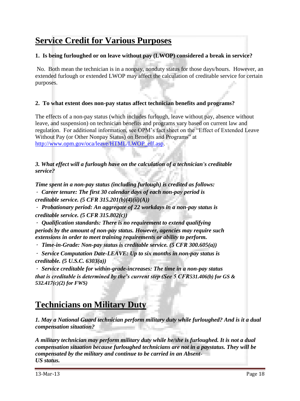## **Service Credit for Various Purposes**

## **1. Is being furloughed or on leave without pay (LWOP) considered a break in service?**

No. Both mean the technician is in a nonpay, nonduty status for those days/hours. However, an extended furlough or extended LWOP may affect the calculation of creditable service for certain purposes.

## **2. To what extent does non-pay status affect technician benefits and programs?**

The effects of a non-pay status (which includes furlough, leave without pay, absence without leave, and suspension) on technician benefits and programs vary based on current law and regulation. For additional information, see OPM's fact sheet on the "Effect of Extended Leave Without Pay (or Other Nonpay Status) on Benefits and Programs" at [http://www.opm.gov/oca/leave/HTML/LWOP\\_eff.asp.](http://www.opm.gov/oca/leave/HTML/LWOP_eff.asp)

## *3. What effect will a furlough have on the calculation of a technician's creditable service?*

*Time spent in a non-pay status (including furlough) is credited as follows: Career tenure: The first 30 calendar days of each non-pay period is*

*creditable service. (5 CFR 315.201(b)(4)(ii)(A))*

 *Probationary period: An aggregate of 22 workdays in a non-pay status is creditable service. (5 CFR 315.802(c))*

 *Qualification standards: There is no requirement to extend qualifying periods by the amount of non-pay status. However, agencies may require such extensions in order to meet training requirements or ability to perform.* 

*Time-in-Grade: Non-pay status is creditable service. (5 CFR 300.605(a))*

 *Service Computation Date-LEAVE: Up to six months in non-pay status is creditable. (5 U.S.C. 6303(a))*

 *Service creditable for within-grade-increases: The time in a non-pay status that is creditable is determined by the's current step (See 5 CFR531.406(b) for GS & 532.417(c)(2) for FWS)*

## **Technicians on Military Duty**

*1. May a National Guard technician perform military duty while furloughed? And is it a dual compensation situation?*

*A military technician may perform military duty while he/she is furloughed. It is not a dual compensation situation because furloughed technicians are not in a paystatus. They will be compensated by the military and continue to be carried in an Absent-US status.*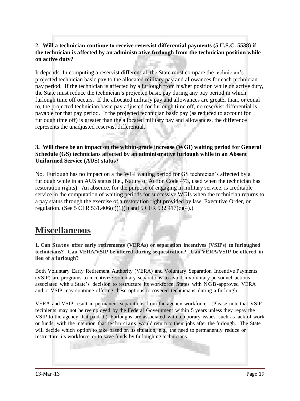## **2. Will a technician continue to receive reservist differential payments (5 U.S.C. 5538) if the technician is affected by an administrative furlough from the technician position while on active duty?**

It depends. In computing a reservist differential, the State must compare the technician's projected technician basic pay to the allocated military pay and allowances for each technician pay period. If the technician is affected by a furlough from his/her position while on active duty, the State must reduce the technician's projected basic pay during any pay period in which furlough time off occurs. If the allocated military pay and allowances are greater than, or equal to, the projected technician basic pay adjusted for furlough time off, no reservist differential is payable for that pay period. If the projected technician basic pay (as reduced to account for furlough time off) is greater than the allocated military pay and allowances, the difference represents the unadjusted reservist differential.

## **3. Will there be an impact on the within-grade increase (WGI) waiting period for General Schedule (GS) technicians affected by an administrative furlough while in an Absent Uniformed Service (AUS) status?**

No. Furlough has no impact on a the WGI waiting period for GS technician's affected by a furlough while in an AUS status (i.e., Nature of Action Code 473, used when the technician has restoration rights). An absence, for the purpose of engaging in military service, is creditable service in the computation of waiting periods for successive WGIs when the technician returns to a pay status through the exercise of a restoration right provided by law, Executive Order, or regulation. (See 5 CFR 531.406(c)(1)(i) and 5 CFR 532.417(c)(4).)

## **Miscellaneous**

**1. Can States offer early retirements (VERAs) or separation incentives (VSIPs) to furloughed technicians? Can VERA/VSIP be offered during sequestration? Can VERA/VSIP be offered in lieu of a furlough?**

Both Voluntary Early Retirement Authority (VERA) and Voluntary Separation Incentive Payments (VSIP) are programs to incentivize voluntary separations to avoid involuntary personnel actions associated with a State's decision to restructure its workforce. States with NGB-approved VERA and or VSIP may continue offering these options to covered technicians during a furlough.

VERA and VSIP result in permanent separations from the agency workforce. (Please note that VSIP recipients may not be reemployed by the Federal Government within 5 years unless they repay the VSIP to the agency that paid it.) Furloughs are associated with temporary issues, such as lack of work or funds, with the intention that technicians would return to their jobs after the furlough. The State will decide which option to take based on its situation, e.g., the need to permanently reduce or restructure its workforce or to save funds by furloughing technicians.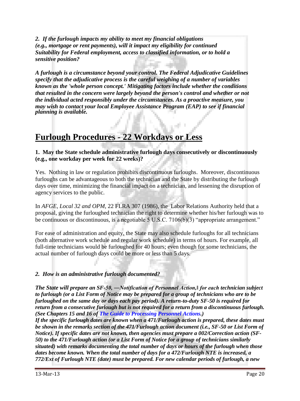*2. If the furlough impacts my ability to meet my financial obligations (e.g., mortgage or rent payments), will it impact my eligibility for continued Suitability for Federal employment, access to classified information, or to hold a sensitive position?*

*A furlough is a circumstance beyond your control. The Federal Adjudicative Guidelines specify that the adjudicative process is the careful weighing of a number of variables known as the 'whole person concept.' Mitigating factors include whether the conditions that resulted in the concern were largely beyond the person's control and whether or not the individual acted responsibly under the circumstances. As a proactive measure, you may wish to contact your local Employee Assistance Program (EAP) to see if financial planning is available.*

## **Furlough Procedures - 22 Workdays or Less**

### **1. May the State schedule administrative furlough days consecutively or discontinuously (e.g., one workday per week for 22 weeks)?**

Yes. Nothing in law or regulation prohibits discontinuous furloughs. Moreover, discontinuous furloughs can be advantageous to both the technician and the State by distributing the furlough days over time, minimizing the financial impact on a technician, and lessening the disruption of agency services to the public.

In *AFGE, Local 32 and OPM*, 22 FLRA 307 (1986), the Labor Relations Authority held that a proposal, giving the furloughed technician the right to determine whether his/her furlough was to be continuous or discontinuous, is a negotiable 5 U.S.C. 7106(b)(3) "appropriate arrangement."

For ease of administration and equity, the State may also schedule furloughs for all technicians (both alternative work schedule and regular work schedule) in terms of hours. For example, all full-time technicians would be furloughed for 40 hours; even though for some technicians, the actual number of furlough days could be more or less than 5 days.

## *2. How is an administrative furlough documented?*

*The State will prepare an SF-50, ―Notification of Personnel Action,‖ for each technician subject to furlough (or a List Form of Notice may be prepared for a group of technicians who are to be furloughed on the same day or days each pay period). A return-to-duty SF-50 is required for return from a consecutive furlough but is not required for a return from a discontinuous furlough. (See Chapters 15 and 16 of The Guide to Processing Personnel Actions.)* 

*If the specific furlough dates are known when a 471/Furlough action is prepared, these dates must be shown in the remarks section of the 471/Furlough action document (i.e., SF-50 or List Form of Notice). If specific dates are not known, then agencies must prepare a 002/Correction action (SF-50) to the 471/Furlough action (or a List Form of Notice for a group of technicians similarly situated) with remarks documenting the total number of days or hours of the furlough when those dates become known. When the total number of days for a 472/Furlough NTE is increased, a 772/Ext of Furlough NTE (date) must be prepared. For new calendar periods of furlough, a new*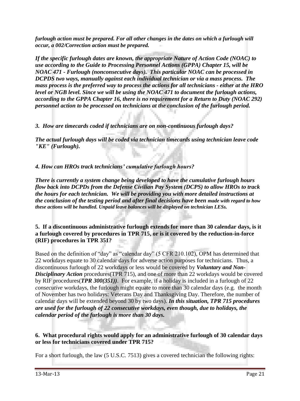*furlough action must be prepared. For all other changes in the dates on which a furlough will occur, a 002/Correction action must be prepared.* 

*If the specific furlough dates are known, the appropriate Nature of Action Code (NOAC) to use according to the Guide to Processing Personnel Actions (GPPA) Chapter 15, will be NOAC 471 - Furlough (nonconsecutive days). This particular NOAC can be processed in DCPDS two ways, manually against each individual technician or via a mass process. The mass process is the preferred way to process the actions for all technicians - either at the HRO level or NGB level. Since we will be using the NOAC 471 to document the furlough actions, according to the GPPA Chapter 16, there is no requirement for a Return to Duty (NOAC 292) personnel action to be processed on technicians at the conclusion of the furlough period.* 

*3. How are timecards coded if technicians are on non-continuous furlough days?* 

*The actual furlough days will be coded via technician timecards using technician leave code "KE" (Furlough).* 

*4. How can HROs track technicians' cumulative furlough hours?* 

*There is currently a system change being developed to have the cumulative furlough hours flow back into DCPDs from the Defense Civilian Pay System (DCPS) to allow HROs to track the hours for each technician. We will be providing you with more detailed instructions at the conclusion of the testing period and after final decisions have been made with regard to how these actions will be handled. Unpaid leave balances will be displayed on technician LESs.* 

#### **5. If a discontinuous administrative furlough extends for more than 30 calendar days, is it a furlough covered by procedures in TPR 715, or is it covered by the reduction-in-force (RIF) procedures in TPR 351?**

Based on the definition of "day" as "calendar day" (5 CFR 210.102), OPM has determined that 22 workdays equate to 30 calendar days for adverse action purposes for technicians. Thus, a discontinuous furlough of 22 workdays or less would be covered by *Voluntary and Non-Disciplinary Action* procedures(TPR 715), and one of more than 22 workdays would be covered by RIF procedures(*TPR 300(351))*. For example, if a holiday is included in a furlough of 22 *consecutive* workdays, the furlough might equate to more than 30 calendar days (e.g. the month of November has two holidays: Veterans Day and Thanksgiving Day. Therefore, the number of calendar days will be extended beyond 30 by two days). *In this situation, TPR 715 procedures are used for the furlough of 22 consecutive workdays, even though, due to holidays, the calendar period of the furlough is more than 30 days.*

## **6. What procedural rights would apply for an administrative furlough of 30 calendar days or less for technicians covered under TPR 715?**

For a short furlough, the law (5 U.S.C. 7513) gives a covered technician the following rights: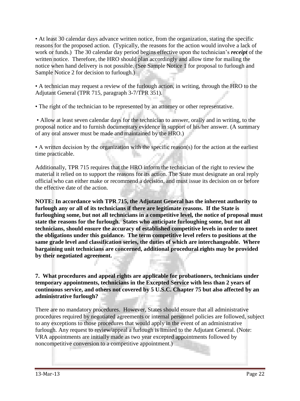• At least 30 calendar days advance written notice, from the organization, stating the specific reasons for the proposed action. (Typically, the reasons for the action would involve a lack of work or funds.) The 30 calendar day period begins effective upon the technician's *receipt* of the written notice. Therefore, the HRO should plan accordingly and allow time for mailing the notice when hand delivery is not possible. (See Sample Notice 1 for proposal to furlough and Sample Notice 2 for decision to furlough.)

• A technician may request a review of the furlough action, in writing, through the HRO to the Adjutant General (TPR 715, paragraph 3-7/TPR 351).

• The right of the technician to be represented by an attorney or other representative.

• Allow at least seven calendar days for the technician to answer, orally and in writing, to the proposal notice and to furnish documentary evidence in support of his/her answer. (A summary of any oral answer must be made and maintained by the HRO.)

• A written decision by the organization with the specific reason(s) for the action at the earliest time practicable.

Additionally, TPR 715 requires that the HRO inform the technician of the right to review the material it relied on to support the reasons for its action. The State must designate an oral reply official who can either make or recommend a decision, and must issue its decision on or before the effective date of the action.

**NOTE: In accordance with TPR 715, the Adjutant General has the inherent authority to furlough any or all of its technicians if there are legitimate reasons. If the State is furloughing some, but not all technicians in a competitive level, the notice of proposal must state the reasons for the furlough. States who anticipate furloughing some, but not all technicians, should ensure the accuracy of established competitive levels in order to meet the obligations under this guidance. The term competitive level refers to positions at the same grade level and classification series, the duties of which are interchangeable. Where bargaining unit technicians are concerned, additional procedural rights may be provided by their negotiated agreement.** 

**7. What procedures and appeal rights are applicable for probationers, technicians under temporary appointments, technicians in the Excepted Service with less than 2 years of continuous service, and others not covered by 5 U.S.C. Chapter 75 but also affected by an administrative furlough?**

There are no mandatory procedures. However, States should ensure that all administrative procedures required by negotiated agreements or internal personnel policies are followed, subject to any exceptions to those procedures that would apply in the event of an administrative furlough. Any request to review/appeal a furlough is limited to the Adjutant General. (Note: VRA appointments are initially made as two year excepted appointments followed by noncompetitive conversion to a competitive appointment.)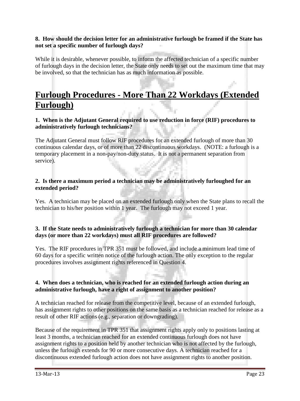### **8. How should the decision letter for an administrative furlough be framed if the State has not set a specific number of furlough days?**

While it is desirable, whenever possible, to inform the affected technician of a specific number of furlough days in the decision letter, the State only needs to set out the maximum time that may be involved, so that the technician has as much information as possible.

## **Furlough Procedures - More Than 22 Workdays (Extended Furlough)**

## **1. When is the Adjutant General required to use reduction in force (RIF) procedures to administratively furlough technicians?**

The Adjutant General must follow RIF procedures for an extended furlough of more than 30 continuous calendar days, or of more than 22 discontinuous workdays. (NOTE: a furlough is a temporary placement in a non-pay/non-duty status. It is not a permanent separation from service).

### **2. Is there a maximum period a technician may be administratively furloughed for an extended period?**

Yes. A technician may be placed on an extended furlough only when the State plans to recall the technician to his/her position within 1 year. The furlough may not exceed 1 year.

## **3. If the State needs to administratively furlough a technician for more than 30 calendar days (or more than 22 workdays) must all RIF procedures are followed?**

Yes. The RIF procedures in TPR 351 must be followed, and include a minimum lead time of 60 days for a specific written notice of the furlough action. The only exception to the regular procedures involves assignment rights referenced in Question 4.

#### **4. When does a technician, who is reached for an extended furlough action during an administrative furlough, have a right of assignment to another position?**

A technician reached for release from the competitive level, because of an extended furlough, has assignment rights to other positions on the same basis as a technician reached for release as a result of other RIF actions (e.g., separation or downgrading).

Because of the requirement in TPR 351 that assignment rights apply only to positions lasting at least 3 months, a technician reached for an extended continuous furlough does not have assignment rights to a position held by another technician who is not affected by the furlough, unless the furlough extends for 90 or more consecutive days. A technician reached for a discontinuous extended furlough action does not have assignment rights to another position.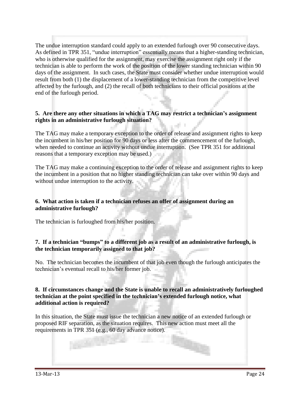The undue interruption standard could apply to an extended furlough over 90 consecutive days. As defined in TPR 351, "undue interruption" essentially means that a higher-standing technician, who is otherwise qualified for the assignment, may exercise the assignment right only if the technician is able to perform the work of the position of the lower standing technician within 90 days of the assignment. In such cases, the State must consider whether undue interruption would result from both (1) the displacement of a lower-standing technician from the competitive level affected by the furlough, and (2) the recall of both technicians to their official positions at the end of the furlough period.

## **5. Are there any other situations in which a TAG may restrict a technician's assignment rights in an administrative furlough situation?**

The TAG may make a temporary exception to the order of release and assignment rights to keep the incumbent in his/her position for 90 days or less after the commencement of the furlough, when needed to continue an activity without undue interruption. (See TPR 351 for additional reasons that a temporary exception may be used.)

The TAG may make a continuing exception to the order of release and assignment rights to keep the incumbent in a position that no higher standing technician can take over within 90 days and without undue interruption to the activity.

## **6. What action is taken if a technician refuses an offer of assignment during an administrative furlough?**

The technician is furloughed from his/her position.

## **7.** If a **technician** "bumps" to a different job as a result of an administrative furlough, is **the technician temporarily assigned to that job?**

No. The technician becomes the incumbent of that job even though the furlough anticipates the technician's eventual recall to his/her former job.

#### **8. If circumstances change and the State is unable to recall an administratively furloughed technician at the point specified in the technician's extended furlough notice, what additional action is required?**

In this situation, the State must issue the technician a new notice of an extended furlough or proposed RIF separation, as the situation requires. This new action must meet all the requirements in TPR 351 (e.g., 60 day advance notice).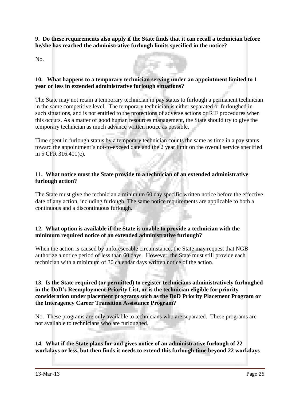**9. Do these requirements also apply if the State finds that it can recall a technician before he/she has reached the administrative furlough limits specified in the notice?** 

No.



The State may not retain a temporary technician in pay status to furlough a permanent technician in the same competitive level. The temporary technician is either separated or furloughed in such situations, and is not entitled to the protections of adverse actions or RIF procedures when this occurs. As a matter of good human resources management, the State should try to give the temporary technician as much advance written notice as possible.

Time spent in furlough status by a temporary technician counts the same as time in a pay status toward the appointment's not-to-exceed date and the 2 year limit on the overall service specified in 5 CFR 316.401(c). The Co

### **11. What notice must the State provide to a technician of an extended administrative furlough action?**

The State must give the technician a minimum 60 day specific written notice before the effective date of any action, including furlough. The same notice requirements are applicable to both a continuous and a discontinuous furlough.

## **12. What option is available if the State is unable to provide a technician with the minimum required notice of an extended administrative furlough?**

When the action is caused by unforeseeable circumstance, the State may request that NGB authorize a notice period of less than 60 days. However, the State must still provide each technician with a minimum of 30 calendar days written notice of the action.

**13. Is the State required (or permitted) to register technicians administratively furloughed in the DoD's Reemployment Priority List, or is the technician eligible for priority consideration under placement programs such as the DoD Priority Placement Program or the Interagency Career Transition Assistance Program?** 

No. These programs are only available to technicians who are separated. These programs are not available to technicians who are furloughed.

**14. What if the State plans for and gives notice of an administrative furlough of 22 workdays or less, but then finds it needs to extend this furlough time beyond 22 workdays**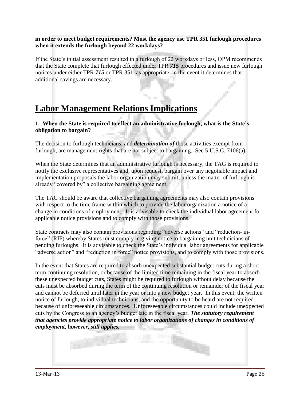#### **in order to meet budget requirements? Must the agency use TPR 351 furlough procedures when it extends the furlough beyond 22 workdays?**

If the State's initial assessment resulted in a furlough of 22 workdays or less, OPM recommends that the State complete that furlough effected under TPR *715* procedures and issue new furlough notices under either TPR *715* or TPR 351, as appropriate, in the event it determines that additional savings are necessary.

## **Labor Management Relations Implications**

**1. When the State is required to effect an administrative furlough, what is the State's obligation to bargain?** 

The decision to furlough technicians, and *determination of* those activities exempt from furlough, are management rights that are not subject to bargaining. See 5 U.S.C. 7106(a).

When the State determines that an administrative furlough is necessary, the TAG is required to notify the exclusive representatives and, upon request, bargain over any negotiable impact and implementation proposals the labor organization may submit; unless the matter of furlough is already "covered by" a collective bargaining agreement.

The TAG should be aware that collective bargaining agreements may also contain provisions with respect to the time frame within which to provide the labor organization a notice of a change in conditions of employment. It is advisable to check the individual labor agreement for applicable notice provisions and to comply with those provisions.

State contracts may also contain provisions regarding "adverse actions" and "reduction- inforce" (RIF) whereby States must comply in giving notice to bargaining unit technicians of pending furloughs. It is advisable to check the State's individual labor agreements for applicable "adverse action" and "reduction in force" notice provisions, and to comply with those provisions.

In the event that States are required to absorb unexpected substantial budget cuts during a short term continuing resolution, or because of the limited time remaining in the fiscal year to absorb these unexpected budget cuts, States might be required to furlough without delay because the cuts must be absorbed during the term of the continuing resolution or remainder of the fiscal year and cannot be deferred until later in the year or into a new budget year. In this event, the written notice of furlough, to individual technicians, and the opportunity to be heard are not required because of unforeseeable circumstances. Unforeseeable circumstances could include unexpected cuts by the Congress to an agency's budget late in the fiscal year. *The statutory requirement that agencies provide appropriate notice to labor organizations of changes in conditions of employment, however, still applies.*

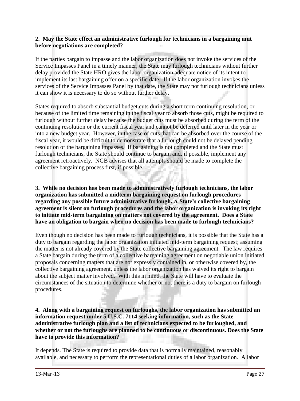### **2. May the State effect an administrative furlough for technicians in a bargaining unit before negotiations are completed?**

If the parties bargain to impasse and the labor organization does not invoke the services of the Service Impasses Panel in a timely manner, the State may furlough technicians without further delay provided the State HRO gives the labor organization adequate notice of its intent to implement its last bargaining offer on a specific date. If the labor organization invokes the services of the Service Impasses Panel by that date, the State may not furlough technicians unless it can show it is necessary to do so without further delay.

States required to absorb substantial budget cuts during a short term continuing resolution, or because of the limited time remaining in the fiscal year to absorb those cuts, might be required to furlough without further delay because the budget cuts must be absorbed during the term of the continuing resolution or the current fiscal year and cannot be deferred until later in the year or into a new budget year. However, in the case of cuts that can be absorbed over the course of the fiscal year, it would be difficult to demonstrate that a furlough could not be delayed pending resolution of the bargaining impasses. If bargaining is not completed and the State must furlough technicians, the State should continue to bargain and, if possible, implement any agreement retroactively. NGB advises that all attempts should be made to complete the collective bargaining process first, if possible.

**3. While no decision has been made to administratively furlough technicians, the labor organization has submitted a midterm bargaining request on furlough procedures regarding any possible future administrative furlough. A State's collective bargaining agreement is silent on furlough procedures and the labor organization is invoking its right to initiate mid-term bargaining on matters not covered by the agreement. Does a State have an obligation to bargain when no decision has been made to furlough technicians?** 

Even though no decision has been made to furlough technicians, it is possible that the State has a duty to bargain regarding the labor organization initiated mid-term bargaining request; assuming the matter is not already covered by the State collective bargaining agreement. The law requires a State bargain during the term of a collective bargaining agreement on negotiable union initiated proposals concerning matters that are not expressly contained in, or otherwise covered by, the collective bargaining agreement, unless the labor organization has waived its right to bargain about the subject matter involved. With this in mind, the State will have to evaluate the circumstances of the situation to determine whether or not there is a duty to bargain on furlough procedures.

**4. Along with a bargaining request on furloughs, the labor organization has submitted an information request under 5 U.S.C. 7114 seeking information, such as the State administrative furlough plan and a list of technicians expected to be furloughed, and whether or not the furloughs are planned to be continuous or discontinuous. Does the State have to provide this information?** 

It depends. The State is required to provide data that is normally maintained, reasonably available, and necessary to perform the representational duties of a labor organization. A labor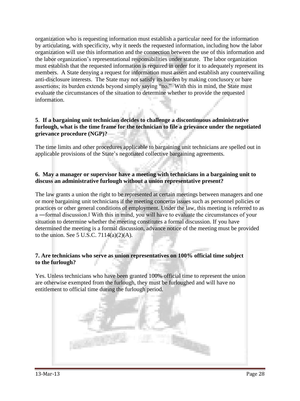organization who is requesting information must establish a particular need for the information by articulating, with specificity, why it needs the requested information, including how the labor organization will use this information and the connection between the use of this information and the labor organization's representational responsibilities under statute. The labor organization must establish that the requested information is required in order for it to adequately represent its members. A State denying a request for information must assert and establish any countervailing anti-disclosure interests. The State may not satisfy its burden by making conclusory or bare assertions; its burden extends beyond simply saying "no." With this in mind, the State must evaluate the circumstances of the situation to determine whether to provide the requested information.

## **5**. **If a bargaining unit technician decides to challenge a discontinuous administrative furlough, what is the time frame for the technician to file a grievance under the negotiated grievance procedure (NGP)?**

The time limits and other procedures applicable to bargaining unit technicians are spelled out in applicable provisions of the State's negotiated collective bargaining agreements.

### **6. May a manager or supervisor have a meeting with technicians in a bargaining unit to discuss an administrative furlough without a union representative present?**

The law grants a union the right to be represented at certain meetings between managers and one or more bargaining unit technicians if the meeting concerns issues such as personnel policies or practices or other general conditions of employment. Under the law, this meeting is referred to as a ―formal discussion.‖ With this in mind, you will have to evaluate the circumstances of your situation to determine whether the meeting constitutes a formal discussion. If you have determined the meeting is a formal discussion, advance notice of the meeting must be provided to the union. See 5 U.S.C.  $7114(a)(2)(A)$ .

## **7. Are technicians who serve as union representatives on 100% official time subject to the furlough?**

Yes. Unless technicians who have been granted 100% official time to represent the union are otherwise exempted from the furlough, they must be furloughed and will have no entitlement to official time during the furlough period.

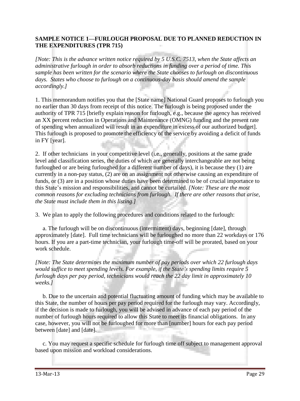## **SAMPLE NOTICE 1—FURLOUGH PROPOSAL DUE TO PLANNED REDUCTION IN THE EXPENDITURES (TPR 715)**

*[Note: This is the advance written notice required by 5 U.S.C. 7513, when the State affects an administrative furlough in order to absorb reductions in funding over a period of time. This sample has been written for the scenario where the State chooses to furlough on discontinuous days. States who choose to furlough on a continuous-day basis should amend the sample accordingly.]* 

1. This memorandum notifies you that the [State name] National Guard proposes to furlough you no earlier than 30 days from receipt of this notice. The furlough is being proposed under the authority of TPR 715 [briefly explain reason for furlough, e.g., because the agency has received an XX percent reduction in Operations and Maintenance (OMNG) funding and the present rate of spending when annualized will result in an expenditure in excess of our authorized budget]. This furlough is proposed to promote the efficiency of the service by avoiding a deficit of funds in FY [year].

2. If other technicians in your competitive level (i.e., generally, positions at the same grade level and classification series, the duties of which are generally interchangeable are not being furloughed or are being furloughed for a different number of days), it is because they (1) are currently in a non-pay status, (2) are on an assignment not otherwise causing an expenditure of funds, or (3) are in a position whose duties have been determined to be of crucial importance to this State's mission and responsibilities, and cannot be curtailed. *[Note: These are the most common reasons for excluding technicians from furlough. If there are other reasons that arise, the State must include them in this listing.]* 

3. We plan to apply the following procedures and conditions related to the furlough:

 a. The furlough will be on discontinuous (intermittent) days, beginning [date], through approximately [date]. Full time technicians will be furloughed no more than 22 workdays or 176 hours. If you are a part-time technician, your furlough time-off will be prorated, based on your work schedule.

*[Note: The State determines the maximum number of pay periods over which 22 furlough days would suffice to meet spending levels. For example, if the State's spending limits require 5 furlough days per pay period, technicians would reach the 22 day limit in approximately 10 weeks.]* 

 b. Due to the uncertain and potential fluctuating amount of funding which may be available to this State, the number of hours per pay period required for the furlough may vary. Accordingly, if the decision is made to furlough, you will be advised in advance of each pay period of the number of furlough hours required to allow this State to meet its financial obligations. In any case, however, you will not be furloughed for more than [number] hours for each pay period between [date] and [date].

 c. You may request a specific schedule for furlough time off subject to management approval based upon mission and workload considerations.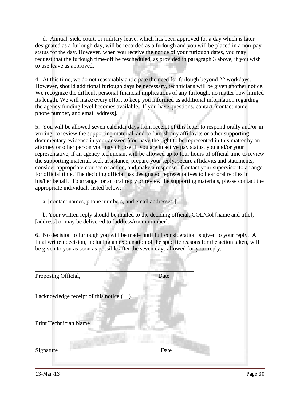d. Annual, sick, court, or military leave, which has been approved for a day which is later designated as a furlough day, will be recorded as a furlough and you will be placed in a non-pay status for the day. However, when you receive the notice of your furlough dates, you may request that the furlough time-off be rescheduled, as provided in paragraph 3 above, if you wish to use leave as approved.

4. At this time, we do not reasonably anticipate the need for furlough beyond 22 workdays. However, should additional furlough days be necessary, technicians will be given another notice. We recognize the difficult personal financial implications of any furlough, no matter how limited its length. We will make every effort to keep you informed as additional information regarding the agency funding level becomes available. If you have questions, contact [contact name, phone number, and email address].

5. You will be allowed seven calendar days from receipt of this letter to respond orally and/or in writing, to review the supporting material, and to furnish any affidavits or other supporting documentary evidence in your answer. You have the right to be represented in this matter by an attorney or other person you may choose. If you are in active pay status, you and/or your representative, if an agency technician, will be allowed up to four hours of official time to review the supporting material, seek assistance, prepare your reply, secure affidavits and statements, consider appropriate courses of action, and make a response. Contact your supervisor to arrange for official time. The deciding official has designated representatives to hear oral replies in his/her behalf. To arrange for an oral reply or review the supporting materials, please contact the appropriate individuals listed below:

a. [contact names, phone numbers, and email addresses.]

 b. Your written reply should be mailed to the deciding official, COL/Col [name and title], [address] or may be delivered to [address/room number].

6. No decision to furlough you will be made until full consideration is given to your reply. A final written decision, including an explanation of the specific reasons for the action taken, will be given to you as soon as possible after the seven days allowed for your reply.

| Proposing Official,                    | Date    |  |
|----------------------------------------|---------|--|
| I acknowledge receipt of this notice ( | $\cdot$ |  |
| <b>Print Technician Name</b>           |         |  |
| Signature                              | Date    |  |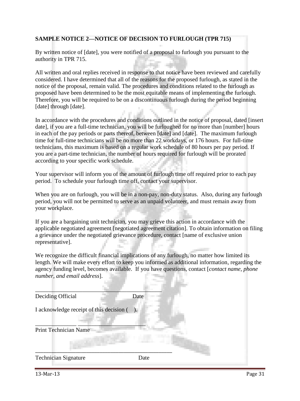## **SAMPLE NOTICE 2—NOTICE OF DECISION TO FURLOUGH (TPR 715)**

By written notice of [date], you were notified of a proposal to furlough you pursuant to the authority in TPR 715.

All written and oral replies received in response to that notice have been reviewed and carefully considered. I have determined that all of the reasons for the proposed furlough, as stated in the notice of the proposal, remain valid. The procedures and conditions related to the furlough as proposed have been determined to be the most equitable means of implementing the furlough. Therefore, you will be required to be on a discontinuous furlough during the period beginning [date] through [date].

In accordance with the procedures and conditions outlined in the notice of proposal, dated [insert date], if you are a full-time technician, you will be furloughed for no more than [number] hours in each of the pay periods or parts thereof, between [date] and [date]. The maximum furlough time for full-time technicians will be no more than 22 workdays, or 176 hours. For full-time technicians, this maximum is based on a regular work schedule of 80 hours per pay period. If you are a part-time technician, the number of hours required for furlough will be prorated according to your specific work schedule.

Your supervisor will inform you of the amount of furlough time off required prior to each pay period. To schedule your furlough time off, contact your supervisor.

When you are on furlough, you will be in a non-pay, non-duty status. Also, during any furlough period, you will not be permitted to serve as an unpaid volunteer, and must remain away from your workplace.

If you are a bargaining unit technician, you may grieve this action in accordance with the applicable negotiated agreement [negotiated agreement citation]. To obtain information on filing a grievance under the negotiated grievance procedure, contact [name of exclusive union representative].

We recognize the difficult financial implications of any furlough, no matter how limited its length. We will make every effort to keep you informed as additional information, regarding the agency funding level, becomes available. If you have questions, contact [*contact name, phone number, and email address*].

| Deciding Official                        | Date |
|------------------------------------------|------|
| I acknowledge receipt of this decision ( | ).   |
| <b>Print Technician Name</b>             |      |
| <b>Technician Signature</b>              | Date |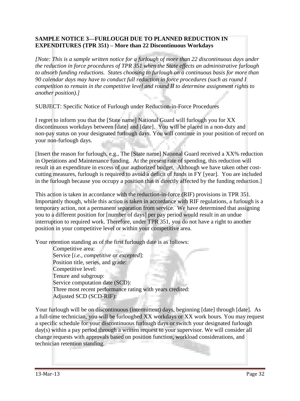## **SAMPLE NOTICE 3—FURLOUGH DUE TO PLANNED REDUCTION IN EXPENDITURES (TPR 351) – More than 22 Discontinuous Workdays**

*[Note: This is a sample written notice for a furlough of more than 22 discontinuous days under the reduction in force procedures of TPR 351 when the State effects an administrative furlough to absorb funding reductions. States choosing to furlough on a continuous basis for more than 90 calendar days may have to conduct full reduction in force procedures (such as round I competition to remain in the competitive level and round II to determine assignment rights to another position).]* 

SUBJECT: Specific Notice of Furlough under Reduction-in-Force Procedures

I regret to inform you that the [State name] National Guard will furlough you for XX discontinuous workdays between [date] and [date]. You will be placed in a non-duty and non-pay status on your designated furlough days. You will continue in your position of record on your non-furlough days.

[Insert the reason for furlough, e.g., The [State name] National Guard received a XX% reduction in Operations and Maintenance funding. At the present rate of spending, this reduction will result in an expenditure in excess of our authorized budget. Although we have taken other costcutting measures, furlough is required to avoid a deficit of funds in FY [year]. You are included in the furlough because you occupy a position that is directly affected by the funding reduction.]

This action is taken in accordance with the reduction-in-force (RIF) provisions in TPR 351. Importantly though, while this action is taken in accordance with RIF regulations, a furlough is a temporary action, not a permanent separation from service. We have determined that assigning you to a different position for [number of days] per pay period would result in an undue interruption to required work. Therefore, under TPR 351, you do not have a right to another position in your competitive level or within your competitive area.

Your retention standing as of the first furlough date is as follows:

Competitive area: Service [*i.e., competitive or excepted*]: Position title, series, and grade: Competitive level: Tenure and subgroup: Service computation date (SCD): Three most recent performance rating with years credited: Adjusted SCD (SCD-RIF):

Your furlough will be on discontinuous (intermittent) days, beginning [date] through [date]. As a full-time technician, you will be furloughed XX workdays or XX work hours. You may request a specific schedule for your discontinuous furlough days or switch your designated furlough day(s) within a pay period through a written request to your supervisor. We will consider all change requests with approvals based on position function, workload considerations, and technician retention standing.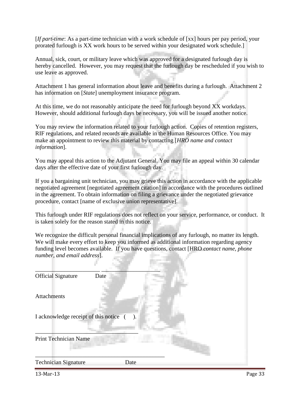[*If part-time*: As a part-time technician with a work schedule of [xx] hours per pay period, your prorated furlough is XX work hours to be served within your designated work schedule.]

Annual, sick, court, or military leave which was approved for a designated furlough day is hereby cancelled. However, you may request that the furlough day be rescheduled if you wish to use leave as approved.

Attachment 1 has general information about leave and benefits during a furlough. Attachment 2 has information on [*State*] unemployment insurance program.

At this time, we do not reasonably anticipate the need for furlough beyond XX workdays. However, should additional furlough days be necessary, you will be issued another notice.

You may review the information related to your furlough action. Copies of retention registers, RIF regulations, and related records are available in the Human Resources Office. You may make an appointment to review this material by contacting [*HRO name and contact information*].

You may appeal this action to the Adjutant General. You may file an appeal within 30 calendar days after the effective date of your first furlough day.

If you a bargaining unit technician, you may grieve this action in accordance with the applicable negotiated agreement [negotiated agreement citation] in accordance with the procedures outlined in the agreement. To obtain information on filing a grievance under the negotiated grievance procedure, contact [name of exclusive union representative].

This furlough under RIF regulations does not reflect on your service, performance, or conduct. It is taken solely for the reason stated in this notice.

We recognize the difficult personal financial implications of any furlough, no matter its length. We will make every effort to keep you informed as additional information regarding agency funding level becomes available. If you have questions, contact [HRO *contact name, phone number, and email address*].

| <b>Official Signature</b><br>Date      |      |
|----------------------------------------|------|
| <b>Attachments</b>                     |      |
| I acknowledge receipt of this notice ( | ).   |
| <b>Print Technician Name</b>           |      |
| <b>Technician Signature</b>            | Date |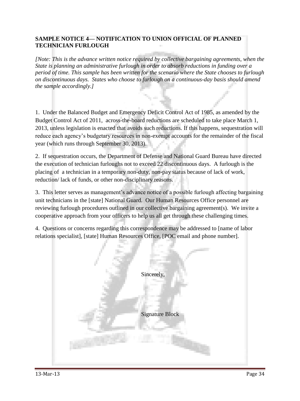## **SAMPLE NOTICE 4— NOTIFICATION TO UNION OFFICIAL OF PLANNED TECHNICIAN FURLOUGH**

*[Note: This is the advance written notice required by collective bargaining agreements, when the State is planning an administrative furlough in order to absorb reductions in funding over a period of time. This sample has been written for the scenario where the State chooses to furlough on discontinuous days. States who choose to furlough on a continuous-day basis should amend the sample accordingly.]* 

1. Under the Balanced Budget and Emergency Deficit Control Act of 1985, as amended by the Budget Control Act of 2011, across-the-board reductions are scheduled to take place March 1, 2013, unless legislation is enacted that avoids such reductions. If this happens, sequestration will reduce each agency's budgetary resources in non-exempt accounts for the remainder of the fiscal year (which runs through September 30, 2013).

2. If sequestration occurs, the Department of Defense and National Guard Bureau have directed the execution of technician furloughs not to exceed 22 discontinuous days. A furlough is the placing of a technician in a temporary non-duty, non-pay status because of lack of work, reduction/ lack of funds, or other non-disciplinary reasons.

3. This letter serves as management's advance notice of a possible furlough affecting bargaining unit technicians in the [state] National Guard. Our Human Resources Office personnel are reviewing furlough procedures outlined in our collective bargaining agreement(s). We invite a cooperative approach from your officers to help us all get through these challenging times.

4. Questions or concerns regarding this correspondence may be addressed to [name of labor relations specialist], [state] Human Resources Office, [POC email and phone number].